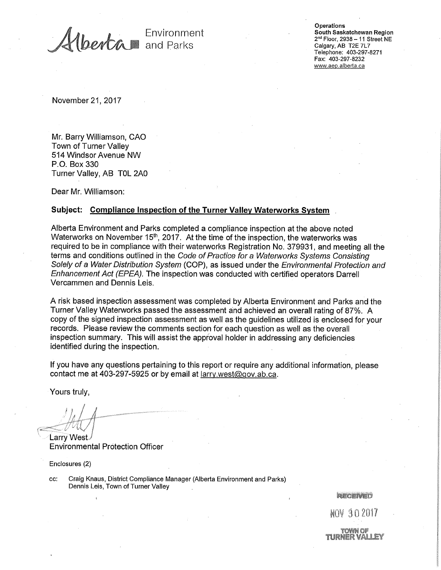Environment and Parks

**Operations** South Saskatchewan Region 2" Floor, 2938— 11 Street NE Calgary, AB T2E 7L7 Telephone: 403-297-8271 Fax: 403-297-8232 www.aep.alberta.ca

November 21, 2017

Mr. Barry Williamson, CAO Town of Turner Valley 514 Windsor Avenue NW P.O. Box 330 Turner Valley, AB TOL 2A0

Dear Mr. Williamson:

## **Subject: Compliance Inspection of the Turner Valley Waterworks System**

Alberta Environment and Parks completed a compliance inspection at the above noted Waterworks on November 15<sup>th</sup>, 2017. At the time of the inspection, the waterworks was required to be in compliance with their waterworks Registration No. 379931, and meeting all the terms and conditions outlined in the Code of Practice for a Waterworks Systems Consisting Solely of a Water Distribution System (COP), as issued under the Environmental Protection and Enhancement Act (EPEA). The inspection was conducted with certified operators Darrell Vercammen and Dennis Leis.

A risk based inspection assessment was completed by Alberta Environment and Parks and the Turner Valley Waterworks passed the assessment and achieved an overall rating of 87%. A copy of the signed inspection assessment as well as the guidelines utilized is enclosed for your records. Please review the comments section for each question as well as the overall inspection summary. This will assist the approval holder in addressing any deficiencies identified during the inspection.

If you have any questions pertaining to this report or require any additional information, please contact me at 403-297-5925 or by email at larry.west@gov.ab.ca.

Yours truly,

**Larry** West Environmental Protection Officer

Enclosures (2)

cc: Craig Knaus, District Compliance Manager (Alberta Environment and Parks) Dennis Leis, Town of Turner Valley

RECENED

NOV 8 2017

tirner val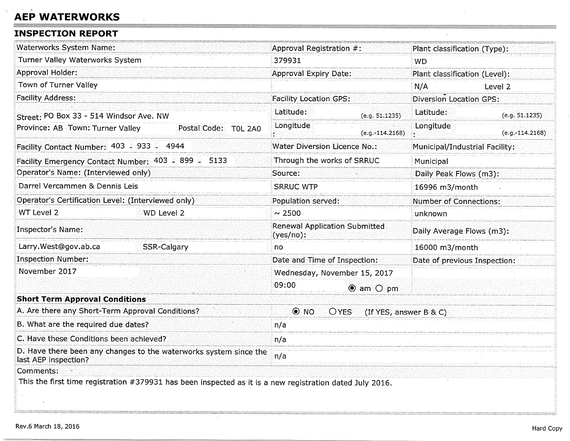## **AEP WATERWORKS**

## **INSPECTION REPORT**

| <b>Waterworks System Name:</b>                                                                           | Approval Registration #:                             |                        | Plant classification (Type):   |                   |
|----------------------------------------------------------------------------------------------------------|------------------------------------------------------|------------------------|--------------------------------|-------------------|
| Turner Valley Waterworks System                                                                          | 379931                                               |                        | WD                             |                   |
| Approval Holder:                                                                                         | <b>Approval Expiry Date:</b>                         |                        | Plant classification (Level):  |                   |
| Town of Turner Valley                                                                                    |                                                      |                        | N/A<br>Level 2                 |                   |
| <b>Facility Address:</b>                                                                                 | <b>Facility Location GPS:</b>                        |                        | <b>Diversion Location GPS:</b> |                   |
| Street: PO Box 33 - 514 Windsor Ave. NW                                                                  | Latitude:                                            | (e.g. 51.1235)         | Latitude:                      | (e.g. 51.1235)    |
| Province: AB Town: Turner Valley<br>Postal Code: T0L 2A0                                                 | Longitude                                            | $(e.g.-114.2168)$      | Longitude                      | $(e.g.-114.2168)$ |
| Facility Contact Number: 403 = 933 = 4944                                                                | Water Diversion Licence No.:                         |                        | Municipal/Industrial Facility: |                   |
| Facility Emergency Contact Number: 403 2 899 2 5133                                                      | Through the works of SRRUC                           |                        | Municipal                      |                   |
| Operator's Name: (Interviewed only)                                                                      | Source:                                              |                        | Daily Peak Flows (m3):         |                   |
| Darrel Vercammen & Dennis Leis                                                                           | <b>SRRUC WTP</b>                                     |                        | 16996 m3/month                 |                   |
| Operator's Certification Level: (Interviewed only)                                                       | Population served:                                   |                        | <b>Number of Connections:</b>  |                   |
| WT Level 2<br>WD Level 2                                                                                 | $\sim 2500$                                          |                        | unknown                        |                   |
| Inspector's Name:                                                                                        | <b>Renewal Application Submitted</b><br>$(yes/no)$ : |                        | Daily Average Flows (m3):      |                   |
| Larry.West@gov.ab.ca<br>SSR-Calgary                                                                      | no                                                   |                        | 16000 m3/month                 |                   |
| <b>Inspection Number:</b>                                                                                | Date and Time of Inspection:                         |                        | Date of previous Inspection:   |                   |
| November 2017                                                                                            | Wednesday, November 15, 2017                         |                        |                                |                   |
|                                                                                                          | 09:00<br>$\bullet$ am $\circ$ pm                     |                        |                                |                   |
| <b>Short Term Approval Conditions</b>                                                                    |                                                      |                        |                                |                   |
| A. Are there any Short-Term Approval Conditions?                                                         | $\odot$ NO<br><b>OYES</b>                            | (If YES, answer B & C) |                                |                   |
| B. What are the required due dates?<br>n/a                                                               |                                                      |                        |                                |                   |
| C. Have these Conditions been achieved?                                                                  | n/a                                                  |                        |                                |                   |
| D. Have there been any changes to the waterworks system since the<br>last AEP inspection?                | n/a                                                  |                        |                                |                   |
| Comments:                                                                                                |                                                      |                        |                                |                   |
| This the first time registration #379931 has been inspected as it is a new registration dated July 2016. |                                                      |                        |                                |                   |

**MI EMI**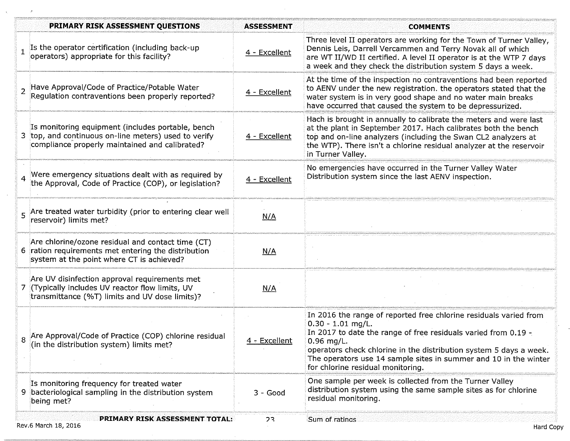| Is the operator certification (including back-up<br>operators) appropriate for this facility?<br>Have Approval/Code of Practice/Potable Water<br>Regulation contraventions been properly reported?<br>Is monitoring equipment (includes portable, bench<br>3 top, and continuous on-line meters) used to verify<br>compliance properly maintained and calibrated? | 4 - Excellent<br>4 - Excellent<br>4 - Excellent               | Three level II operators are working for the Town of Turner Valley,<br>Dennis Leis, Darrell Vercammen and Terry Novak all of which<br>are WT II/WD II certified. A level II operator is at the WTP 7 days<br>a week and they check the distribution system 5 days a week.<br>At the time of the inspection no contraventions had been reported<br>to AENV under the new registration. the operators stated that the<br>water system is in very good shape and no water main breaks<br>have occurred that caused the system to be depressurized.<br>Hach is brought in annually to calibrate the meters and were last<br>at the plant in September 2017. Hach calibrates both the bench |
|-------------------------------------------------------------------------------------------------------------------------------------------------------------------------------------------------------------------------------------------------------------------------------------------------------------------------------------------------------------------|---------------------------------------------------------------|----------------------------------------------------------------------------------------------------------------------------------------------------------------------------------------------------------------------------------------------------------------------------------------------------------------------------------------------------------------------------------------------------------------------------------------------------------------------------------------------------------------------------------------------------------------------------------------------------------------------------------------------------------------------------------------|
|                                                                                                                                                                                                                                                                                                                                                                   |                                                               |                                                                                                                                                                                                                                                                                                                                                                                                                                                                                                                                                                                                                                                                                        |
|                                                                                                                                                                                                                                                                                                                                                                   |                                                               |                                                                                                                                                                                                                                                                                                                                                                                                                                                                                                                                                                                                                                                                                        |
|                                                                                                                                                                                                                                                                                                                                                                   |                                                               | top and on-line analyzers (including the Swan CL2 analyzers at<br>the WTP). There isn't a chlorine residual analyzer at the reservoir<br>in Turner Valley.                                                                                                                                                                                                                                                                                                                                                                                                                                                                                                                             |
| Were emergency situations dealt with as required by<br>the Approval, Code of Practice (COP), or legislation?                                                                                                                                                                                                                                                      | 4 - Excellent                                                 | No emergencies have occurred in the Turner Valley Water<br>Distribution system since the last AENV inspection.                                                                                                                                                                                                                                                                                                                                                                                                                                                                                                                                                                         |
| 5 Are treated water turbidity (prior to entering clear well<br>reservoir) limits met?                                                                                                                                                                                                                                                                             | N/A                                                           |                                                                                                                                                                                                                                                                                                                                                                                                                                                                                                                                                                                                                                                                                        |
| Are chlorine/ozone residual and contact time (CT)<br>6 ration requirements met entering the distribution<br>system at the point where CT is achieved?                                                                                                                                                                                                             | N/A                                                           |                                                                                                                                                                                                                                                                                                                                                                                                                                                                                                                                                                                                                                                                                        |
| Are UV disinfection approval requirements met<br>7 (Typically includes UV reactor flow limits, UV<br>transmittance (%T) limits and UV dose limits)?                                                                                                                                                                                                               | N/A                                                           |                                                                                                                                                                                                                                                                                                                                                                                                                                                                                                                                                                                                                                                                                        |
| Are Approval/Code of Practice (COP) chlorine residual<br>(in the distribution system) limits met?                                                                                                                                                                                                                                                                 | <u>4 - Excellent</u>                                          | In 2016 the range of reported free chlorine residuals varied from<br>$0.30 - 1.01$ mg/L.<br>In 2017 to date the range of free residuals varied from 0.19 -<br>$0.96$ mg/L.<br>operators check chlorine in the distribution system 5 days a week.<br>The operators use 14 sample sites in summer and 10 in the winter<br>for chlorine residual monitoring.                                                                                                                                                                                                                                                                                                                              |
| Is monitoring frequency for treated water<br>9 bacteriological sampling in the distribution system<br>being met?                                                                                                                                                                                                                                                  | $3 - Good$                                                    | One sample per week is collected from the Turner Valley<br>distribution system using the same sample sites as for chlorine<br>residual monitoring.                                                                                                                                                                                                                                                                                                                                                                                                                                                                                                                                     |
|                                                                                                                                                                                                                                                                                                                                                                   | <b>PRIMARY RISK ASSESSMENT TOTAL:</b><br>Rev.6 March 18, 2016 | フ3                                                                                                                                                                                                                                                                                                                                                                                                                                                                                                                                                                                                                                                                                     |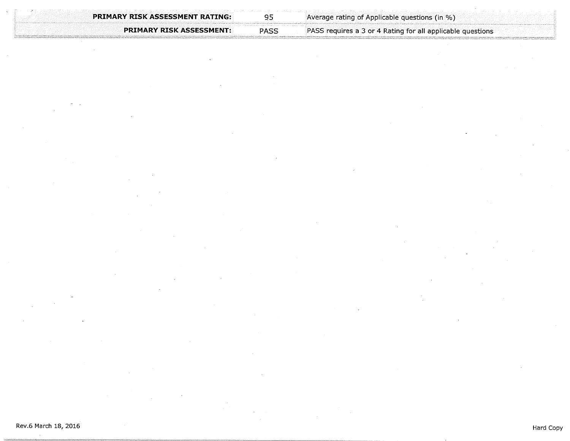**PRIMARY RISK** ASSESSMENT: PASS

PASS requires a 3 or 4 Rating for all applicable questions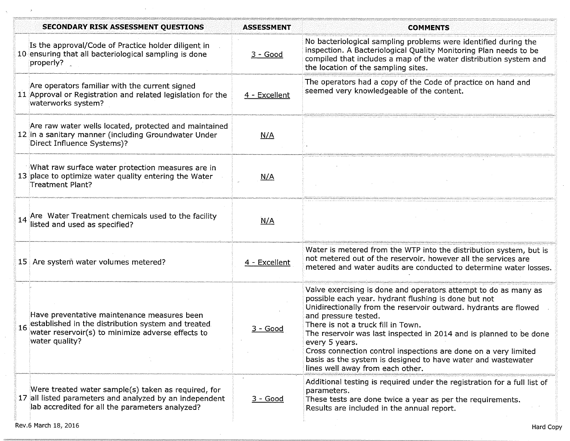| <b>SECONDARY RISK ASSESSMENT QUESTIONS</b>                                                                                                                                     | <b>ASSESSMENT</b> | <b>COMMENTS</b>                                                                                                                                                                                                                                                                                                                                                                                                                                                                                                          |
|--------------------------------------------------------------------------------------------------------------------------------------------------------------------------------|-------------------|--------------------------------------------------------------------------------------------------------------------------------------------------------------------------------------------------------------------------------------------------------------------------------------------------------------------------------------------------------------------------------------------------------------------------------------------------------------------------------------------------------------------------|
| Is the approval/Code of Practice holder diligent in<br>10 ensuring that all bacteriological sampling is done<br>properly?                                                      | $3 - Good$        | No bacteriological sampling problems were identified during the<br>inspection. A Bacteriological Quality Monitoring Plan needs to be<br>compiled that includes a map of the water distribution system and<br>the location of the sampling sites.                                                                                                                                                                                                                                                                         |
| Are operators familiar with the current signed<br>11 Approval or Registration and related legislation for the<br>waterworks system?                                            | 4 - Excellent     | The operators had a copy of the Code of practice on hand and<br>seemed very knowledgeable of the content.                                                                                                                                                                                                                                                                                                                                                                                                                |
| Are raw water wells located, protected and maintained<br>12 in a sanitary manner (including Groundwater Under<br>Direct Influence Systems)?                                    | N/A               |                                                                                                                                                                                                                                                                                                                                                                                                                                                                                                                          |
| What raw surface water protection measures are in<br>13 place to optimize water quality entering the Water<br>Treatment Plant?                                                 | N/A               |                                                                                                                                                                                                                                                                                                                                                                                                                                                                                                                          |
| Are Water Treatment chemicals used to the facility<br>listed and used as specified?                                                                                            | N/A               |                                                                                                                                                                                                                                                                                                                                                                                                                                                                                                                          |
| 15 Are system water volumes metered?                                                                                                                                           | 4 - Excellent     | Water is metered from the WTP into the distribution system, but is<br>not metered out of the reservoir. however all the services are<br>metered and water audits are conducted to determine water losses.                                                                                                                                                                                                                                                                                                                |
| Have preventative maintenance measures been<br>established in the distribution system and treated<br>16<br>water reservoir(s) to minimize adverse effects to<br>water quality? | 3 - Good          | Valve exercising is done and operators attempt to do as many as<br>possible each year. hydrant flushing is done but not<br>Unidirectionally from the reservoir outward. hydrants are flowed<br>and pressure tested.<br>There is not a truck fill in Town.<br>The reservoir was last inspected in 2014 and is planned to be done<br>every 5 years.<br>Cross connection control inspections are done on a very limited<br>basis as the system is designed to have water and wastewater<br>lines well away from each other. |
| Were treated water sample(s) taken as required, for<br>17 all listed parameters and analyzed by an independent<br>lab accredited for all the parameters analyzed?              | $3 - Good$        | Additional testing is required under the registration for a full list of<br>parameters.<br>These tests are done twice a year as per the requirements.<br>Results are included in the annual report.                                                                                                                                                                                                                                                                                                                      |

 $\sim$ 

 $\ddot{\phantom{1}}$ 

 $\Delta$ 

 $\bar{A}$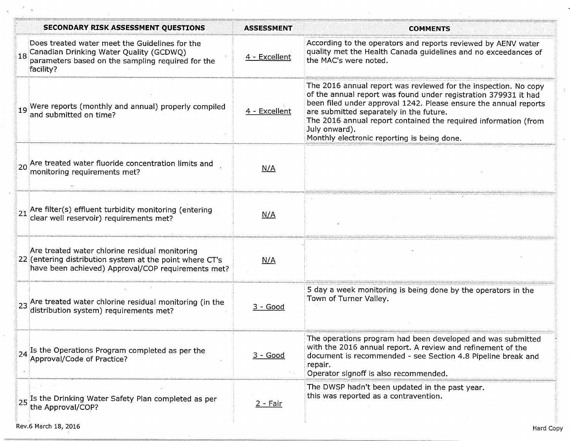|    | <b>SECONDARY RISK ASSESSMENT QUESTIONS</b>                                                                                                                       | <b>ASSESSMENT</b> | <b>COMMENTS</b>                                                                                                                                                                                                                                                                                                                                                                      |
|----|------------------------------------------------------------------------------------------------------------------------------------------------------------------|-------------------|--------------------------------------------------------------------------------------------------------------------------------------------------------------------------------------------------------------------------------------------------------------------------------------------------------------------------------------------------------------------------------------|
| 18 | Does treated water meet the Guidelines for the<br>Canadian Drinking Water Quality (GCDWQ)<br>parameters based on the sampling required for the<br>facility?      | 4 - Excellent     | According to the operators and reports reviewed by AENV water<br>quality met the Health Canada guidelines and no exceedances of<br>the MAC's were noted.                                                                                                                                                                                                                             |
|    | 19 Were reports (monthly and annual) properly compiled<br>and submitted on time?                                                                                 | 4 - Excellent     | The 2016 annual report was reviewed for the inspection. No copy<br>of the annual report was found under registration 379931 it had<br>been filed under approval 1242. Please ensure the annual reports<br>are submitted separately in the future.<br>The 2016 annual report contained the required information (from<br>July onward).<br>Monthly electronic reporting is being done. |
|    | <sub>20</sub> Are treated water fluoride concentration limits and<br>monitoring requirements met?                                                                | N/A               |                                                                                                                                                                                                                                                                                                                                                                                      |
|    | 21 Are filter(s) effluent turbidity monitoring (entering $21$ clear well reservoir) requirements met?                                                            | N/A               |                                                                                                                                                                                                                                                                                                                                                                                      |
|    | Are treated water chlorine residual monitoring<br>22 (entering distribution system at the point where CT's<br>have been achieved) Approval/COP requirements met? | N/A               |                                                                                                                                                                                                                                                                                                                                                                                      |
|    | 23 Are treated water chlorine residual monitoring (in the<br>distribution system) requirements met?                                                              | <u>3 - Good</u>   | 5 day a week monitoring is being done by the operators in the<br>Town of Turner Valley.                                                                                                                                                                                                                                                                                              |
|    | $\frac{1}{2}$ Is the Operations Program completed as per the $\frac{1}{2}$ Approval/Code of Practice?                                                            | 3 - Good          | The operations program had been developed and was submitted<br>with the 2016 annual report. A review and refinement of the<br>document is recommended - see Section 4.8 Pipeline break and<br>repair.<br>Operator signoff is also recommended.                                                                                                                                       |
|    | 25 Is the Drinking Water Safety Plan completed as per<br>the Approval/COP?                                                                                       | $2 - Fair$        | The DWSP hadn't been updated in the past year.<br>this was reported as a contravention.                                                                                                                                                                                                                                                                                              |

÷,

 $\hat{\mathbf{v}}_i$ 

 $\mathcal{A}$ 

 $\mathcal{L}^{\pm}$ 

 $\lambda$ 

 $\Delta$ 

 $\mathbb{R}^2$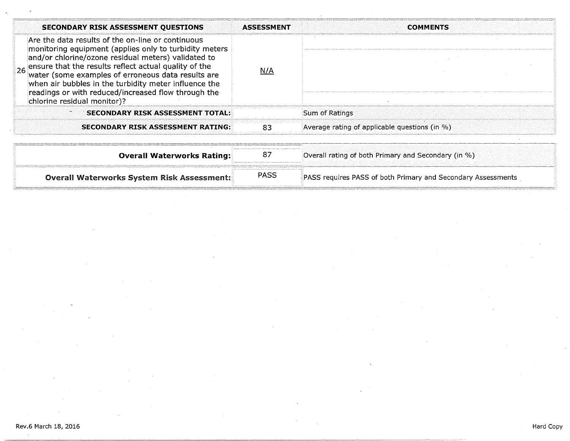| <b>SECONDARY RISK ASSESSMENT QUESTIONS</b>                                                                                                                                                                                                                                                                                                                                                                                          | <b>ASSESSMENT</b> | <b>COMMENTS</b>                                              |
|-------------------------------------------------------------------------------------------------------------------------------------------------------------------------------------------------------------------------------------------------------------------------------------------------------------------------------------------------------------------------------------------------------------------------------------|-------------------|--------------------------------------------------------------|
| Are the data results of the on-line or continuous<br>monitoring equipment (applies only to turbidity meters<br>and/or chlorine/ozone residual meters) validated to<br>26 ensure that the results reflect actual quality of the<br>water (some examples of erroneous data results are<br>when air bubbles in the turbidity meter influence the<br>readings or with reduced/increased flow through the<br>chlorine residual monitor)? | N/A               |                                                              |
| <b>SECONDARY RISK ASSESSMENT TOTAL:</b>                                                                                                                                                                                                                                                                                                                                                                                             |                   | Sum of Ratings                                               |
| <b>SECONDARY RISK ASSESSMENT RATING:</b>                                                                                                                                                                                                                                                                                                                                                                                            | RЗ                | Average rating of applicable questions (in %)                |
| <b>Overall Waterworks Rating:</b>                                                                                                                                                                                                                                                                                                                                                                                                   | 87                | Overall rating of both Primary and Secondary (in %)          |
| <b>Overall Waterworks System Risk Assessment:</b>                                                                                                                                                                                                                                                                                                                                                                                   | PASS              | PASS requires PASS of both Primary and Secondary Assessments |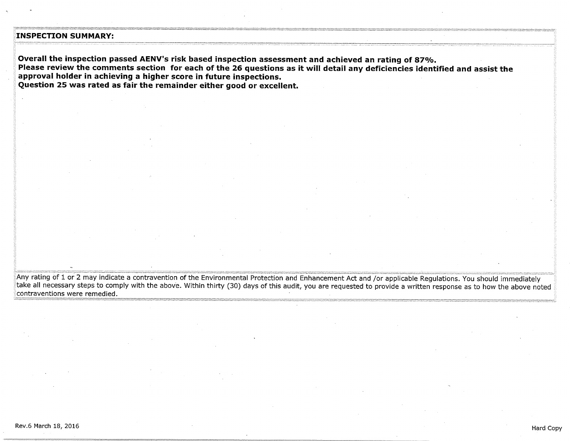## **INSPECTION SUMMARY:**

**Overall the inspection passed AENV's risk based inspection assessment and achieved an rating of 87%. Please review the comments section for each of the 26 questions as it will detail any deficiencies identified and assist the approval holder in achieving a higher score in future inspections. Question 25 was rated as fair the remainder either good or excellent.** 

Any rating of 1 or 2 may indicate a contravention of the Environmental Protection and Enhancement Act and /or applicable Regulations. You should immediately take all necessary steps to comply with the above. Within thirty (30) days of this audit, you are requested to provide a written response as to how the above noted contraventions were remedied.